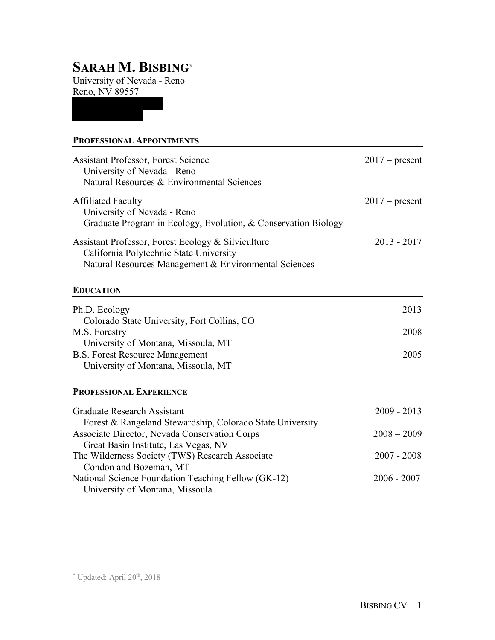# **SARAH M. BISBING\***

University of Nevada - Reno Reno, NV 89557

### **PROFESSIONAL APPOINTMENTS**

| <b>Assistant Professor, Forest Science</b><br>University of Nevada - Reno<br>Natural Resources & Environmental Sciences                                | $2017$ – present |
|--------------------------------------------------------------------------------------------------------------------------------------------------------|------------------|
| <b>Affiliated Faculty</b><br>University of Nevada - Reno<br>Graduate Program in Ecology, Evolution, & Conservation Biology                             | $2017$ – present |
| Assistant Professor, Forest Ecology & Silviculture<br>California Polytechnic State University<br>Natural Resources Management & Environmental Sciences | $2013 - 2017$    |
| <b>EDUCATION</b>                                                                                                                                       |                  |
| Ph.D. Ecology<br>Colorado State University, Fort Collins, CO<br>M.S. Forestry                                                                          | 2013<br>2008     |
| University of Montana, Missoula, MT<br><b>B.S. Forest Resource Management</b><br>University of Montana, Missoula, MT                                   | 2005             |
| <b>PROFESSIONAL EXPERIENCE</b>                                                                                                                         |                  |
| <b>Graduate Research Assistant</b><br>Forest & Rangeland Stewardship, Colorado State University                                                        | $2009 - 2013$    |
| Associate Director, Nevada Conservation Corps<br>Great Basin Institute, Las Vegas, NV                                                                  | $2008 - 2009$    |

The Wilderness Society (TWS) Research Associate 2007 - 2008 Condon and Bozeman, MT National Science Foundation Teaching Fellow (GK-12)2006 - 2007 University of Montana, Missoula

 <sup>\*</sup> Updated: April 20th, 2018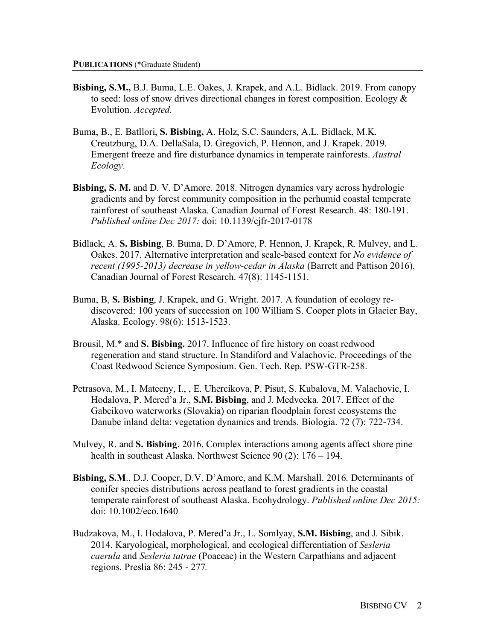- **Bisbing, S.M.,** B.J. Buma, L.E. Oakes, J. Krapek, and A.L. Bidlack. 2019. From canopy to seed: loss of snow drives directional changes in forest composition. Ecology  $\&$ Evolution. *Accepted.*
- Buma, B., E. Batllori, **S. Bisbing,** A. Holz, S.C. Saunders, A.L. Bidlack, M.K. Creutzburg, D.A. DellaSala, D. Gregovich, P. Hennon, and J. Krapek. 2019. Emergent freeze and fire disturbance dynamics in temperate rainforests. *Austral Ecology*.
- **Bisbing, S. M.** and D. V. D'Amore. 2018. Nitrogen dynamics vary across hydrologic gradients and by forest community composition in the perhumid coastal temperate rainforest of southeast Alaska. Canadian Journal of Forest Research. 48: 180-191. *Published online Dec 2017:* doi: 10.1139/cjfr-2017-0178
- Bidlack, A. **S. Bisbing**, B. Buma, D. D'Amore, P. Hennon, J. Krapek, R. Mulvey, and L. Oakes. 2017. Alternative interpretation and scale-based context for *No evidence of recent (1995-2013) decrease in yellow-cedar in Alaska* (Barrett and Pattison 2016). Canadian Journal of Forest Research. 47(8): 1145-1151.
- Buma, B, **S. Bisbing**, J. Krapek, and G. Wright. 2017. A foundation of ecology rediscovered: 100 years of succession on 100 William S. Cooper plots in Glacier Bay, Alaska. Ecology. 98(6): 1513-1523.
- Brousil, M.\* and **S. Bisbing.** 2017. Influence of fire history on coast redwood regeneration and stand structure. In Standiford and Valachovic. Proceedings of the Coast Redwood Science Symposium. Gen. Tech. Rep. PSW-GTR-258.
- Petrasova, M., I. Matecny, I., , E. Uhercikova, P. Pisut, S. Kubalova, M. Valachovic, I. Hodalova, P. Mered'a Jr., **S.M. Bisbing**, and J. Medvecka. 2017. Effect of the Gabcikovo waterworks (Slovakia) on riparian floodplain forest ecosystems the Danube inland delta: vegetation dynamics and trends. Biologia. 72 (7): 722-734.
- Mulvey, R. and **S. Bisbing**. 2016. Complex interactions among agents affect shore pine health in southeast Alaska. Northwest Science 90 (2): 176 – 194.
- **Bisbing, S.M**., D.J. Cooper, D.V. D'Amore, and K.M. Marshall. 2016. Determinants of conifer species distributions across peatland to forest gradients in the coastal temperate rainforest of southeast Alaska. Ecohydrology. *Published online Dec 2015:*  doi: 10.1002/eco.1640
- Budzakova, M., I. Hodalova, P. Mered'a Jr., L. Somlyay, **S.M. Bisbing**, and J. Sibik. 2014. Karyological, morphological, and ecological differentiation of *Sesleria caerula* and *Sesleria tatrae* (Poaceae) in the Western Carpathians and adjacent regions. Preslia 86: 245 - 277*.*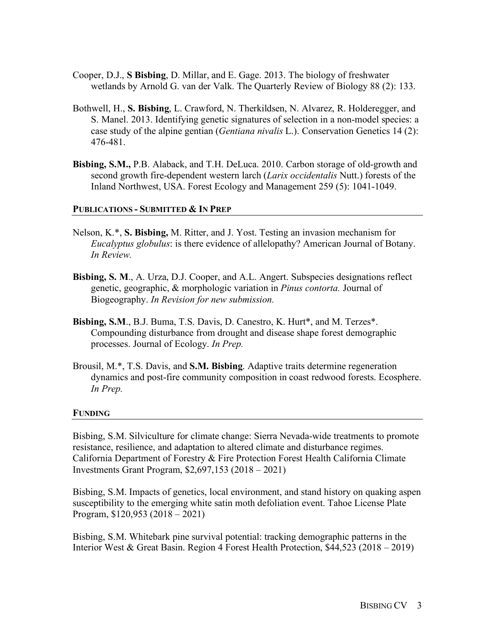- Cooper, D.J., **S Bisbing**, D. Millar, and E. Gage. 2013. The biology of freshwater wetlands by Arnold G. van der Valk. The Quarterly Review of Biology 88 (2): 133.
- Bothwell, H., **S. Bisbing**, L. Crawford, N. Therkildsen, N. Alvarez, R. Holderegger, and S. Manel. 2013. Identifying genetic signatures of selection in a non-model species: a case study of the alpine gentian (*Gentiana nivalis* L.). Conservation Genetics 14 (2): 476-481.
- **Bisbing, S.M.,** P.B. Alaback, and T.H. DeLuca. 2010. Carbon storage of old-growth and second growth fire-dependent western larch (*Larix occidentalis* Nutt.) forests of the Inland Northwest, USA. Forest Ecology and Management 259 (5): 1041-1049.

#### **PUBLICATIONS - SUBMITTED & IN PREP**

- Nelson, K.\*, **S. Bisbing,** M. Ritter, and J. Yost. Testing an invasion mechanism for *Eucalyptus globulus*: is there evidence of allelopathy? American Journal of Botany. *In Review.*
- **Bisbing, S. M**., A. Urza, D.J. Cooper, and A.L. Angert. Subspecies designations reflect genetic, geographic, & morphologic variation in *Pinus contorta.* Journal of Biogeography. *In Revision for new submission.*
- **Bisbing, S.M**., B.J. Buma, T.S. Davis, D. Canestro, K. Hurt\*, and M. Terzes\*. Compounding disturbance from drought and disease shape forest demographic processes. Journal of Ecology. *In Prep.*
- Brousil, M.\*, T.S. Davis, and **S.M. Bisbing**. Adaptive traits determine regeneration dynamics and post-fire community composition in coast redwood forests. Ecosphere. *In Prep.*

#### **FUNDING**

Bisbing, S.M. Silviculture for climate change: Sierra Nevada-wide treatments to promote resistance, resilience, and adaptation to altered climate and disturbance regimes. California Department of Forestry & Fire Protection Forest Health California Climate Investments Grant Program, \$2,697,153 (2018 – 2021)

Bisbing, S.M. Impacts of genetics, local environment, and stand history on quaking aspen susceptibility to the emerging white satin moth defoliation event. Tahoe License Plate Program, \$120,953 (2018 – 2021)

Bisbing, S.M. Whitebark pine survival potential: tracking demographic patterns in the Interior West & Great Basin. Region 4 Forest Health Protection, \$44,523 (2018 – 2019)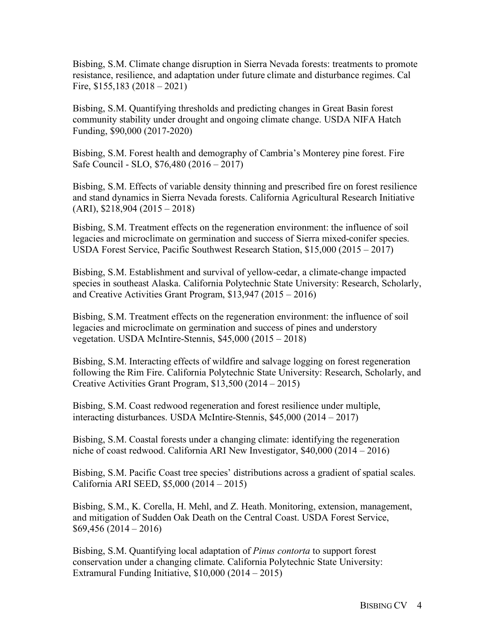Bisbing, S.M. Climate change disruption in Sierra Nevada forests: treatments to promote resistance, resilience, and adaptation under future climate and disturbance regimes. Cal Fire, \$155,183 (2018 – 2021)

Bisbing, S.M. Quantifying thresholds and predicting changes in Great Basin forest community stability under drought and ongoing climate change. USDA NIFA Hatch Funding, \$90,000 (2017-2020)

Bisbing, S.M. Forest health and demography of Cambria's Monterey pine forest. Fire Safe Council - SLO, \$76,480 (2016 – 2017)

Bisbing, S.M. Effects of variable density thinning and prescribed fire on forest resilience and stand dynamics in Sierra Nevada forests. California Agricultural Research Initiative (ARI), \$218,904 (2015 – 2018)

Bisbing, S.M. Treatment effects on the regeneration environment: the influence of soil legacies and microclimate on germination and success of Sierra mixed-conifer species. USDA Forest Service, Pacific Southwest Research Station, \$15,000 (2015 – 2017)

Bisbing, S.M. Establishment and survival of yellow-cedar, a climate-change impacted species in southeast Alaska. California Polytechnic State University: Research, Scholarly, and Creative Activities Grant Program, \$13,947 (2015 – 2016)

Bisbing, S.M. Treatment effects on the regeneration environment: the influence of soil legacies and microclimate on germination and success of pines and understory vegetation. USDA McIntire-Stennis, \$45,000 (2015 – 2018)

Bisbing, S.M. Interacting effects of wildfire and salvage logging on forest regeneration following the Rim Fire. California Polytechnic State University: Research, Scholarly, and Creative Activities Grant Program, \$13,500 (2014 – 2015)

Bisbing, S.M. Coast redwood regeneration and forest resilience under multiple, interacting disturbances. USDA McIntire-Stennis, \$45,000 (2014 – 2017)

Bisbing, S.M. Coastal forests under a changing climate: identifying the regeneration niche of coast redwood. California ARI New Investigator, \$40,000 (2014 – 2016)

Bisbing, S.M. Pacific Coast tree species' distributions across a gradient of spatial scales. California ARI SEED, \$5,000 (2014 – 2015)

Bisbing, S.M., K. Corella, H. Mehl, and Z. Heath. Monitoring, extension, management, and mitigation of Sudden Oak Death on the Central Coast. USDA Forest Service, \$69,456 (2014 – 2016)

Bisbing, S.M. Quantifying local adaptation of *Pinus contorta* to support forest conservation under a changing climate. California Polytechnic State University: Extramural Funding Initiative, \$10,000 (2014 – 2015)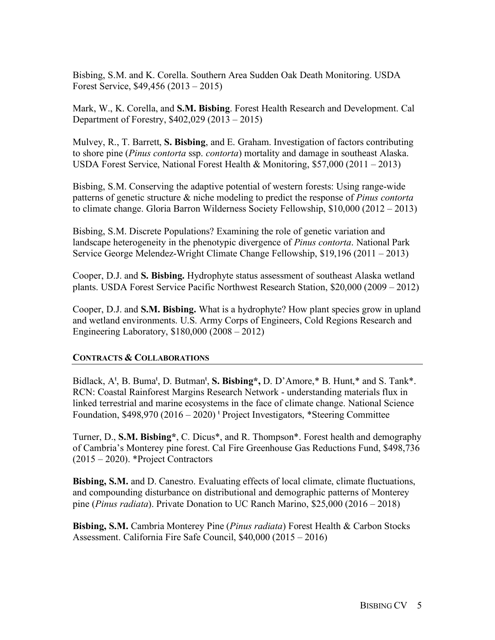Bisbing, S.M. and K. Corella. Southern Area Sudden Oak Death Monitoring. USDA Forest Service, \$49,456 (2013 – 2015)

Mark, W., K. Corella, and **S.M. Bisbing**. Forest Health Research and Development. Cal Department of Forestry, \$402,029 (2013 – 2015)

Mulvey, R., T. Barrett, **S. Bisbing**, and E. Graham. Investigation of factors contributing to shore pine (*Pinus contorta* ssp. *contorta*) mortality and damage in southeast Alaska. USDA Forest Service, National Forest Health & Monitoring, \$57,000 (2011 – 2013)

Bisbing, S.M. Conserving the adaptive potential of western forests: Using range-wide patterns of genetic structure & niche modeling to predict the response of *Pinus contorta* to climate change. Gloria Barron Wilderness Society Fellowship, \$10,000 (2012 – 2013)

Bisbing, S.M. Discrete Populations? Examining the role of genetic variation and landscape heterogeneity in the phenotypic divergence of *Pinus contorta*. National Park Service George Melendez-Wright Climate Change Fellowship, \$19,196 (2011 – 2013)

Cooper, D.J. and **S. Bisbing.** Hydrophyte status assessment of southeast Alaska wetland plants. USDA Forest Service Pacific Northwest Research Station, \$20,000 (2009 – 2012)

Cooper, D.J. and **S.M. Bisbing.** What is a hydrophyte? How plant species grow in upland and wetland environments. U.S. Army Corps of Engineers, Cold Regions Research and Engineering Laboratory, \$180,000 (2008 – 2012)

## **CONTRACTS & COLLABORATIONS**

Bidlack, A<sup>t</sup>, B. Buma<sup>t</sup>, D. Butman<sup>t</sup>, S. Bisbing<sup>\*</sup>, D. D'Amore,<sup>\*</sup> B. Hunt,<sup>\*</sup> and S. Tank<sup>\*</sup>. RCN: Coastal Rainforest Margins Research Network - understanding materials flux in linked terrestrial and marine ecosystems in the face of climate change. National Science Foundation,  $$498,970 (2016 - 2020)$ <sup> $\dagger$ </sup> Project Investigators, \*Steering Committee

Turner, D., **S.M. Bisbing\***, C. Dicus\*, and R. Thompson\*. Forest health and demography of Cambria's Monterey pine forest. Cal Fire Greenhouse Gas Reductions Fund, \$498,736 (2015 – 2020). \*Project Contractors

**Bisbing, S.M.** and D. Canestro. Evaluating effects of local climate, climate fluctuations, and compounding disturbance on distributional and demographic patterns of Monterey pine (*Pinus radiata*). Private Donation to UC Ranch Marino, \$25,000 (2016 – 2018)

**Bisbing, S.M.** Cambria Monterey Pine (*Pinus radiata*) Forest Health & Carbon Stocks Assessment. California Fire Safe Council, \$40,000 (2015 – 2016)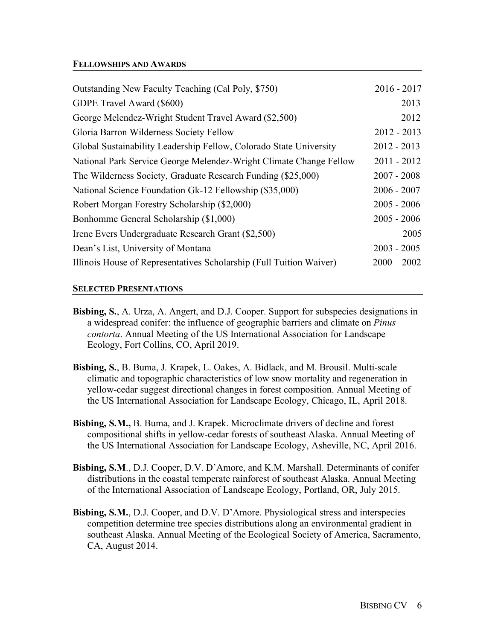#### **FELLOWSHIPS AND AWARDS**

| Outstanding New Faculty Teaching (Cal Poly, \$750)                  | $2016 - 2017$ |
|---------------------------------------------------------------------|---------------|
| GDPE Travel Award (\$600)                                           | 2013          |
| George Melendez-Wright Student Travel Award (\$2,500)               | 2012          |
| Gloria Barron Wilderness Society Fellow                             | $2012 - 2013$ |
| Global Sustainability Leadership Fellow, Colorado State University  | $2012 - 2013$ |
| National Park Service George Melendez-Wright Climate Change Fellow  | $2011 - 2012$ |
| The Wilderness Society, Graduate Research Funding (\$25,000)        | $2007 - 2008$ |
| National Science Foundation Gk-12 Fellowship (\$35,000)             | $2006 - 2007$ |
| Robert Morgan Forestry Scholarship (\$2,000)                        | $2005 - 2006$ |
| Bonhomme General Scholarship (\$1,000)                              | $2005 - 2006$ |
| Irene Evers Undergraduate Research Grant (\$2,500)                  | 2005          |
| Dean's List, University of Montana                                  | $2003 - 2005$ |
| Illinois House of Representatives Scholarship (Full Tuition Waiver) | $2000 - 2002$ |
|                                                                     |               |

#### **SELECTED PRESENTATIONS**

- **Bisbing, S.**, A. Urza, A. Angert, and D.J. Cooper. Support for subspecies designations in a widespread conifer: the influence of geographic barriers and climate on *Pinus contorta*. Annual Meeting of the US International Association for Landscape Ecology, Fort Collins, CO, April 2019.
- **Bisbing, S.**, B. Buma, J. Krapek, L. Oakes, A. Bidlack, and M. Brousil. Multi-scale climatic and topographic characteristics of low snow mortality and regeneration in yellow-cedar suggest directional changes in forest composition. Annual Meeting of the US International Association for Landscape Ecology, Chicago, IL, April 2018.
- **Bisbing, S.M.,** B. Buma, and J. Krapek. Microclimate drivers of decline and forest compositional shifts in yellow-cedar forests of southeast Alaska. Annual Meeting of the US International Association for Landscape Ecology, Asheville, NC, April 2016.
- **Bisbing, S.M**., D.J. Cooper, D.V. D'Amore, and K.M. Marshall. Determinants of conifer distributions in the coastal temperate rainforest of southeast Alaska. Annual Meeting of the International Association of Landscape Ecology, Portland, OR, July 2015.
- **Bisbing, S.M.**, D.J. Cooper, and D.V. D'Amore. Physiological stress and interspecies competition determine tree species distributions along an environmental gradient in southeast Alaska. Annual Meeting of the Ecological Society of America, Sacramento, CA, August 2014.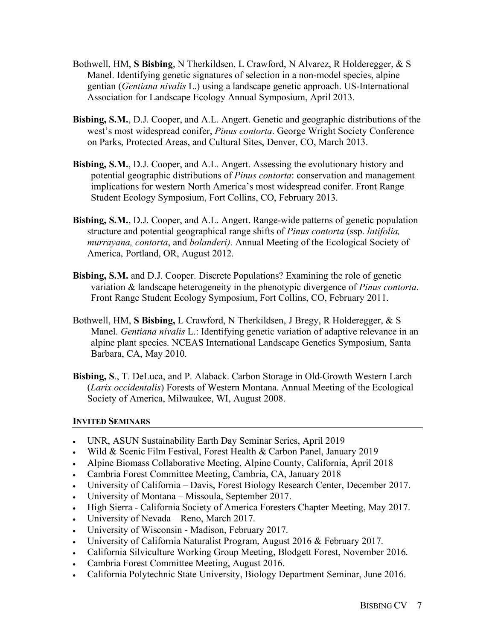- Bothwell, HM, **S Bisbing**, N Therkildsen, L Crawford, N Alvarez, R Holderegger, & S Manel. Identifying genetic signatures of selection in a non-model species, alpine gentian (*Gentiana nivalis* L.) using a landscape genetic approach. US-International Association for Landscape Ecology Annual Symposium, April 2013.
- **Bisbing, S.M.**, D.J. Cooper, and A.L. Angert. Genetic and geographic distributions of the west's most widespread conifer, *Pinus contorta*. George Wright Society Conference on Parks, Protected Areas, and Cultural Sites, Denver, CO, March 2013.
- **Bisbing, S.M.**, D.J. Cooper, and A.L. Angert. Assessing the evolutionary history and potential geographic distributions of *Pinus contorta*: conservation and management implications for western North America's most widespread conifer. Front Range Student Ecology Symposium, Fort Collins, CO, February 2013.
- **Bisbing, S.M.**, D.J. Cooper, and A.L. Angert. Range-wide patterns of genetic population structure and potential geographical range shifts of *Pinus contorta* (ssp. *latifolia, murrayana, contorta*, and *bolanderi).* Annual Meeting of the Ecological Society of America, Portland, OR, August 2012.
- **Bisbing, S.M.** and D.J. Cooper. Discrete Populations? Examining the role of genetic variation & landscape heterogeneity in the phenotypic divergence of *Pinus contorta*. Front Range Student Ecology Symposium, Fort Collins, CO, February 2011.
- Bothwell, HM, **S Bisbing,** L Crawford, N Therkildsen, J Bregy, R Holderegger, & S Manel. *Gentiana nivalis* L.: Identifying genetic variation of adaptive relevance in an alpine plant species. NCEAS International Landscape Genetics Symposium, Santa Barbara, CA, May 2010.
- **Bisbing, S**., T. DeLuca, and P. Alaback. Carbon Storage in Old-Growth Western Larch (*Larix occidentalis*) Forests of Western Montana. Annual Meeting of the Ecological Society of America, Milwaukee, WI, August 2008.

## **INVITED SEMINARS**

- UNR, ASUN Sustainability Earth Day Seminar Series, April 2019
- Wild & Scenic Film Festival, Forest Health & Carbon Panel, January 2019
- Alpine Biomass Collaborative Meeting, Alpine County, California, April 2018
- Cambria Forest Committee Meeting, Cambria, CA, January 2018
- University of California Davis, Forest Biology Research Center, December 2017.
- University of Montana Missoula, September 2017.
- High Sierra California Society of America Foresters Chapter Meeting, May 2017.
- University of Nevada Reno, March 2017.
- University of Wisconsin Madison, February 2017.
- University of California Naturalist Program, August 2016 & February 2017.
- California Silviculture Working Group Meeting, Blodgett Forest, November 2016.
- Cambria Forest Committee Meeting, August 2016.
- California Polytechnic State University, Biology Department Seminar, June 2016.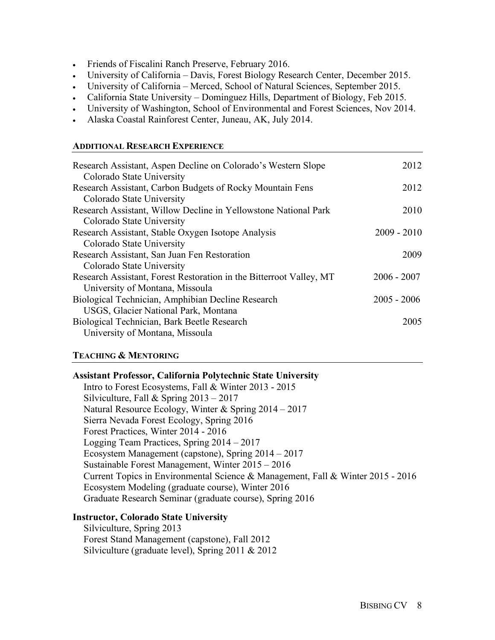- Friends of Fiscalini Ranch Preserve, February 2016.
- University of California Davis, Forest Biology Research Center, December 2015.
- University of California Merced, School of Natural Sciences, September 2015.
- California State University Dominguez Hills, Department of Biology, Feb 2015.
- University of Washington, School of Environmental and Forest Sciences, Nov 2014.
- Alaska Coastal Rainforest Center, Juneau, AK, July 2014.

#### **ADDITIONAL RESEARCH EXPERIENCE**

| Research Assistant, Aspen Decline on Colorado's Western Slope       | 2012          |
|---------------------------------------------------------------------|---------------|
| Colorado State University                                           |               |
| Research Assistant, Carbon Budgets of Rocky Mountain Fens           | 2012          |
| Colorado State University                                           |               |
| Research Assistant, Willow Decline in Yellowstone National Park     | 2010          |
| Colorado State University                                           |               |
| Research Assistant, Stable Oxygen Isotope Analysis                  | $2009 - 2010$ |
| Colorado State University                                           |               |
| Research Assistant, San Juan Fen Restoration                        | 2009          |
| Colorado State University                                           |               |
| Research Assistant, Forest Restoration in the Bitterroot Valley, MT | $2006 - 2007$ |
| University of Montana, Missoula                                     |               |
| Biological Technician, Amphibian Decline Research                   | $2005 - 2006$ |
| USGS, Glacier National Park, Montana                                |               |
| Biological Technician, Bark Beetle Research                         | 2005          |
| University of Montana, Missoula                                     |               |
|                                                                     |               |
|                                                                     |               |

#### **TEACHING & MENTORING**

| <b>Assistant Professor, California Polytechnic State University</b>             |
|---------------------------------------------------------------------------------|
| Intro to Forest Ecosystems, Fall & Winter 2013 - 2015                           |
| Silviculture, Fall & Spring $2013 - 2017$                                       |
| Natural Resource Ecology, Winter & Spring 2014 - 2017                           |
| Sierra Nevada Forest Ecology, Spring 2016                                       |
| Forest Practices, Winter 2014 - 2016                                            |
| Logging Team Practices, Spring 2014 - 2017                                      |
| Ecosystem Management (capstone), Spring $2014 - 2017$                           |
| Sustainable Forest Management, Winter 2015 – 2016                               |
| Current Topics in Environmental Science & Management, Fall & Winter 2015 - 2016 |
| Ecosystem Modeling (graduate course), Winter 2016                               |
| Graduate Research Seminar (graduate course), Spring 2016                        |

#### **Instructor, Colorado State University**

Silviculture, Spring 2013 Forest Stand Management (capstone), Fall 2012 Silviculture (graduate level), Spring 2011 & 2012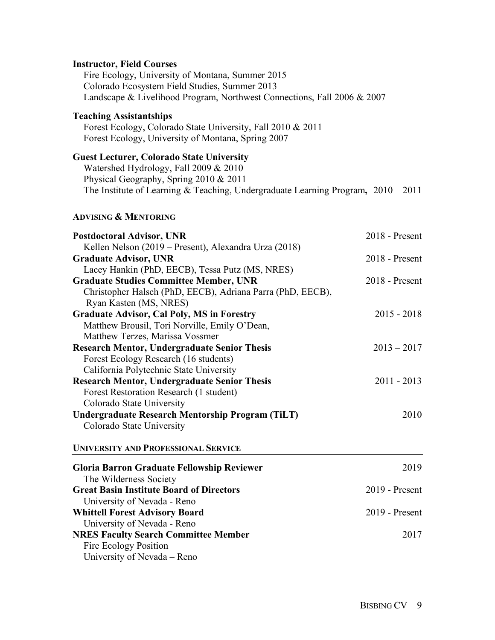#### **Instructor, Field Courses**

Fire Ecology, University of Montana, Summer 2015 Colorado Ecosystem Field Studies, Summer 2013 Landscape & Livelihood Program, Northwest Connections, Fall 2006 & 2007

### **Teaching Assistantships**

Forest Ecology, Colorado State University, Fall 2010 & 2011 Forest Ecology, University of Montana, Spring 2007

## **Guest Lecturer, Colorado State University**

Watershed Hydrology, Fall 2009 & 2010 Physical Geography, Spring 2010 & 2011 The Institute of Learning & Teaching, Undergraduate Learning Program**,** 2010 – 2011

#### **ADVISING & MENTORING**

| <b>Postdoctoral Advisor, UNR</b>                           | 2018 - Present   |  |
|------------------------------------------------------------|------------------|--|
| Kellen Nelson (2019 – Present), Alexandra Urza (2018)      |                  |  |
| <b>Graduate Advisor, UNR</b>                               | 2018 - Present   |  |
| Lacey Hankin (PhD, EECB), Tessa Putz (MS, NRES)            |                  |  |
| <b>Graduate Studies Committee Member, UNR</b>              | $2018$ - Present |  |
| Christopher Halsch (PhD, EECB), Adriana Parra (PhD, EECB), |                  |  |
| Ryan Kasten (MS, NRES)                                     |                  |  |
| <b>Graduate Advisor, Cal Poly, MS in Forestry</b>          | $2015 - 2018$    |  |
| Matthew Brousil, Tori Norville, Emily O'Dean,              |                  |  |
| Matthew Terzes, Marissa Vossmer                            |                  |  |
| <b>Research Mentor, Undergraduate Senior Thesis</b>        | $2013 - 2017$    |  |
| Forest Ecology Research (16 students)                      |                  |  |
| California Polytechnic State University                    |                  |  |
| <b>Research Mentor, Undergraduate Senior Thesis</b>        | $2011 - 2013$    |  |
| Forest Restoration Research (1 student)                    |                  |  |
| Colorado State University                                  |                  |  |
| <b>Undergraduate Research Mentorship Program (TiLT)</b>    | 2010             |  |
| Colorado State University                                  |                  |  |
| <b>UNIVERSITY AND PROFESSIONAL SERVICE</b>                 |                  |  |
| <b>Gloria Barron Graduate Fellowship Reviewer</b>          | 2019             |  |
| The Wilderness Society                                     |                  |  |
| <b>Great Basin Institute Board of Directors</b>            | 2019 - Present   |  |
| University of Nevada - Reno                                |                  |  |
| <b>Whittell Forest Advisory Board</b>                      | $2019$ - Present |  |
| University of Nevada - Reno                                |                  |  |
| <b>NRES Faculty Search Committee Member</b>                | 2017             |  |
| Fire Ecology Position                                      |                  |  |
| University of Nevada – Reno                                |                  |  |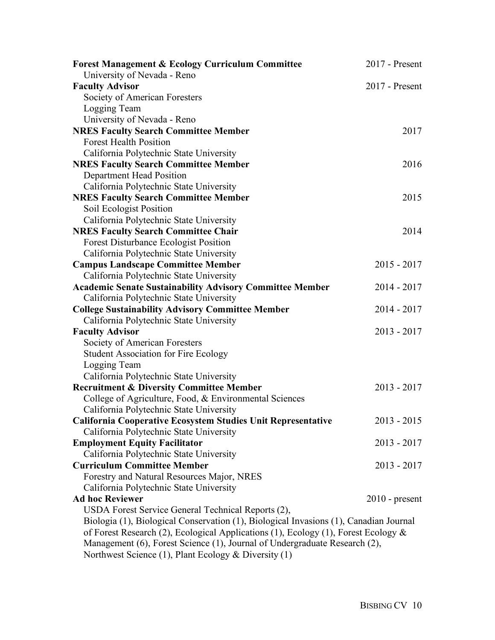| <b>Forest Management &amp; Ecology Curriculum Committee</b>                           | 2017 - Present   |
|---------------------------------------------------------------------------------------|------------------|
| University of Nevada - Reno                                                           |                  |
| <b>Faculty Advisor</b>                                                                | 2017 - Present   |
| Society of American Foresters                                                         |                  |
| Logging Team                                                                          |                  |
| University of Nevada - Reno                                                           |                  |
| <b>NRES Faculty Search Committee Member</b>                                           | 2017             |
| <b>Forest Health Position</b>                                                         |                  |
| California Polytechnic State University                                               |                  |
| <b>NRES Faculty Search Committee Member</b>                                           | 2016             |
| Department Head Position                                                              |                  |
| California Polytechnic State University                                               |                  |
| <b>NRES Faculty Search Committee Member</b>                                           | 2015             |
| Soil Ecologist Position                                                               |                  |
| California Polytechnic State University                                               |                  |
| <b>NRES Faculty Search Committee Chair</b>                                            | 2014             |
| Forest Disturbance Ecologist Position                                                 |                  |
| California Polytechnic State University                                               |                  |
| <b>Campus Landscape Committee Member</b>                                              | $2015 - 2017$    |
| California Polytechnic State University                                               |                  |
| <b>Academic Senate Sustainability Advisory Committee Member</b>                       | $2014 - 2017$    |
| California Polytechnic State University                                               |                  |
| <b>College Sustainability Advisory Committee Member</b>                               | 2014 - 2017      |
| California Polytechnic State University                                               |                  |
| <b>Faculty Advisor</b>                                                                | $2013 - 2017$    |
| Society of American Foresters                                                         |                  |
| <b>Student Association for Fire Ecology</b>                                           |                  |
| Logging Team                                                                          |                  |
| California Polytechnic State University                                               |                  |
| <b>Recruitment &amp; Diversity Committee Member</b>                                   | $2013 - 2017$    |
| College of Agriculture, Food, & Environmental Sciences                                |                  |
| California Polytechnic State University                                               |                  |
| <b>California Cooperative Ecosystem Studies Unit Representative</b>                   | $2013 - 2015$    |
| California Polytechnic State University                                               |                  |
| <b>Employment Equity Facilitator</b>                                                  | $2013 - 2017$    |
| California Polytechnic State University                                               |                  |
| <b>Curriculum Committee Member</b>                                                    | $2013 - 2017$    |
| Forestry and Natural Resources Major, NRES                                            |                  |
| California Polytechnic State University                                               |                  |
| <b>Ad hoc Reviewer</b>                                                                | $2010$ - present |
| USDA Forest Service General Technical Reports (2),                                    |                  |
| Biologia (1), Biological Conservation (1), Biological Invasions (1), Canadian Journal |                  |
| of Forest Research (2), Ecological Applications (1), Ecology (1), Forest Ecology &    |                  |
| Management (6), Forest Science (1), Journal of Undergraduate Research (2),            |                  |
| Northwest Science (1), Plant Ecology & Diversity (1)                                  |                  |